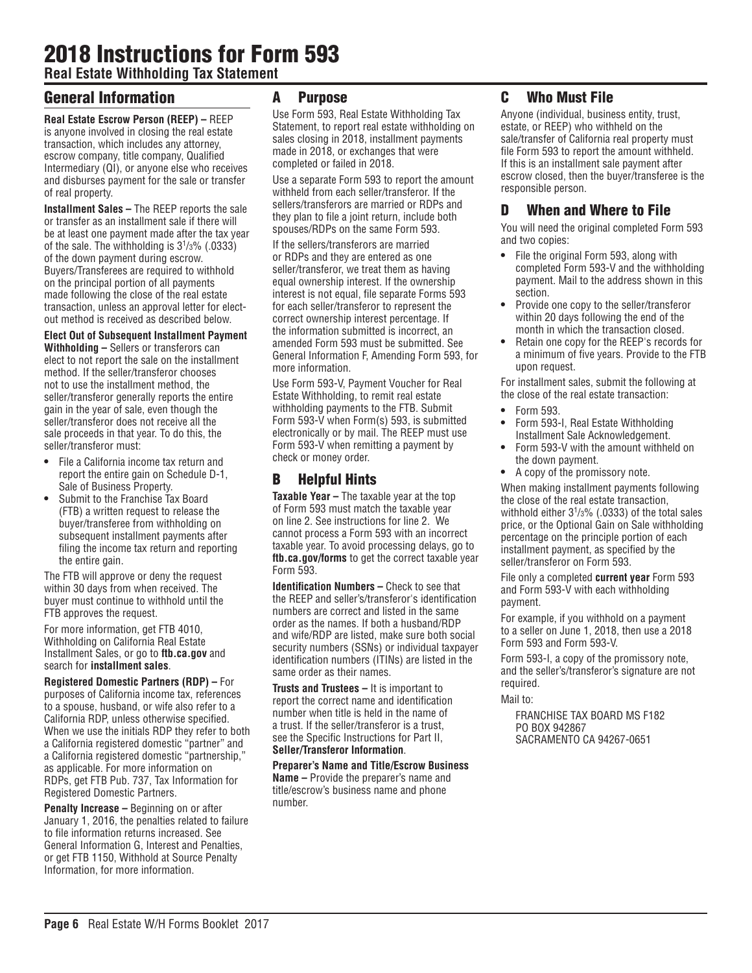# 2018 Instructions for Form 593

**Real Estate Withholding Tax Statement**

# General Information

**Real Estate Escrow Person (REEP) –** REEP is anyone involved in closing the real estate transaction, which includes any attorney, escrow company, title company, Qualified Intermediary (QI), or anyone else who receives and disburses payment for the sale or transfer of real property.

**Installment Sales –** The REEP reports the sale or transfer as an installment sale if there will be at least one payment made after the tax year of the sale. The withholding is 31 /3% (.0333) of the down payment during escrow. Buyers/Transferees are required to withhold on the principal portion of all payments made following the close of the real estate transaction, unless an approval letter for electout method is received as described below.

#### **Elect Out of Subsequent Installment Payment**

**Withholding –** Sellers or transferors can elect to not report the sale on the installment method. If the seller/transferor chooses not to use the installment method, the seller/transferor generally reports the entire gain in the year of sale, even though the seller/transferor does not receive all the sale proceeds in that year. To do this, the seller/transferor must:

- **•** File a California income tax return and report the entire gain on Schedule D-1, Sale of Business Property.
- **•** Submit to the Franchise Tax Board (FTB) a written request to release the buyer/transferee from withholding on subsequent installment payments after filing the income tax return and reporting the entire gain.

The FTB will approve or deny the request within 30 days from when received. The buyer must continue to withhold until the FTB approves the request.

For more information, get FTB 4010, Withholding on California Real Estate Installment Sales, or go to **ftb.ca.gov** and search for **installment sales**.

**Registered Domestic Partners (RDP) –** For purposes of California income tax, references to a spouse, husband, or wife also refer to a California RDP, unless otherwise specified. When we use the initials RDP they refer to both a California registered domestic "partner" and a California registered domestic "partnership," as applicable. For more information on RDPs, get FTB Pub. 737, Tax Information for Registered Domestic Partners.

**Penalty Increase – Beginning on or after** January 1, 2016, the penalties related to failure to file information returns increased. See General Information G, Interest and Penalties, or get FTB 1150, Withhold at Source Penalty Information, for more information.

### A Purpose

Use Form 593, Real Estate Withholding Tax Statement, to report real estate withholding on sales closing in 2018, installment payments made in 2018, or exchanges that were completed or failed in 2018.

Use a separate Form 593 to report the amount withheld from each seller/transferor. If the sellers/transferors are married or RDPs and they plan to file a joint return, include both spouses/RDPs on the same Form 593.

If the sellers/transferors are married or RDPs and they are entered as one seller/transferor, we treat them as having equal ownership interest. If the ownership interest is not equal, file separate Forms 593 for each seller/transferor to represent the correct ownership interest percentage. If the information submitted is incorrect, an amended Form 593 must be submitted. See General Information F, Amending Form 593, for more information.

Use Form 593-V, Payment Voucher for Real Estate Withholding, to remit real estate withholding payments to the FTB. Submit Form 593-V when Form(s) 593, is submitted electronically or by mail. The REEP must use Form 593-V when remitting a payment by check or money order.

# B Helpful Hints

**Taxable Year –** The taxable year at the top of Form 593 must match the taxable year on line 2. See instructions for line 2. We cannot process a Form 593 with an incorrect taxable year. To avoid processing delays, go to **ftb.ca.gov/forms** to get the correct taxable year Form 593.

**Identification Numbers –** Check to see that the REEP and seller's/transferor's identification numbers are correct and listed in the same order as the names. If both a husband/RDP and wife/RDP are listed, make sure both social security numbers (SSNs) or individual taxpayer identification numbers (ITINs) are listed in the same order as their names.

**Trusts and Trustees –** It is important to report the correct name and identification number when title is held in the name of a trust. If the seller/transferor is a trust, see the Specific Instructions for Part II, **Seller/Transferor Information**.

#### **Preparer's Name and Title/Escrow Business**

**Name –** Provide the preparer's name and title/escrow's business name and phone number.

# C Who Must File

Anyone (individual, business entity, trust, estate, or REEP) who withheld on the sale/transfer of California real property must file Form 593 to report the amount withheld. If this is an installment sale payment after escrow closed, then the buyer/transferee is the responsible person.

# D When and Where to File

You will need the original completed Form 593 and two copies:

- **•** File the original Form 593, along with completed Form 593-V and the withholding payment. Mail to the address shown in this section.
- **•** Provide one copy to the seller/transferor within 20 days following the end of the month in which the transaction closed.
- **•** Retain one copy for the REEP's records for a minimum of five years. Provide to the FTB upon request.

For installment sales, submit the following at the close of the real estate transaction:

- **•** Form 593.
- **•** Form 593-I, Real Estate Withholding Installment Sale Acknowledgement.
- **•** Form 593-V with the amount withheld on the down payment.
- **•** A copy of the promissory note.

When making installment payments following the close of the real estate transaction, withhold either 31 /3% (.0333) of the total sales price, or the Optional Gain on Sale withholding percentage on the principle portion of each installment payment, as specified by the seller/transferor on Form 593.

File only a completed **current year** Form 593 and Form 593-V with each withholding payment.

For example, if you withhold on a payment to a seller on June 1, 2018, then use a 2018 Form 593 and Form 593-V.

Form 593-I, a copy of the promissory note, and the seller's/transferor's signature are not required.

Mail to:

FRANCHISE TAX BOARD MS F182 PO BOX 942867 SACRAMENTO CA 94267-0651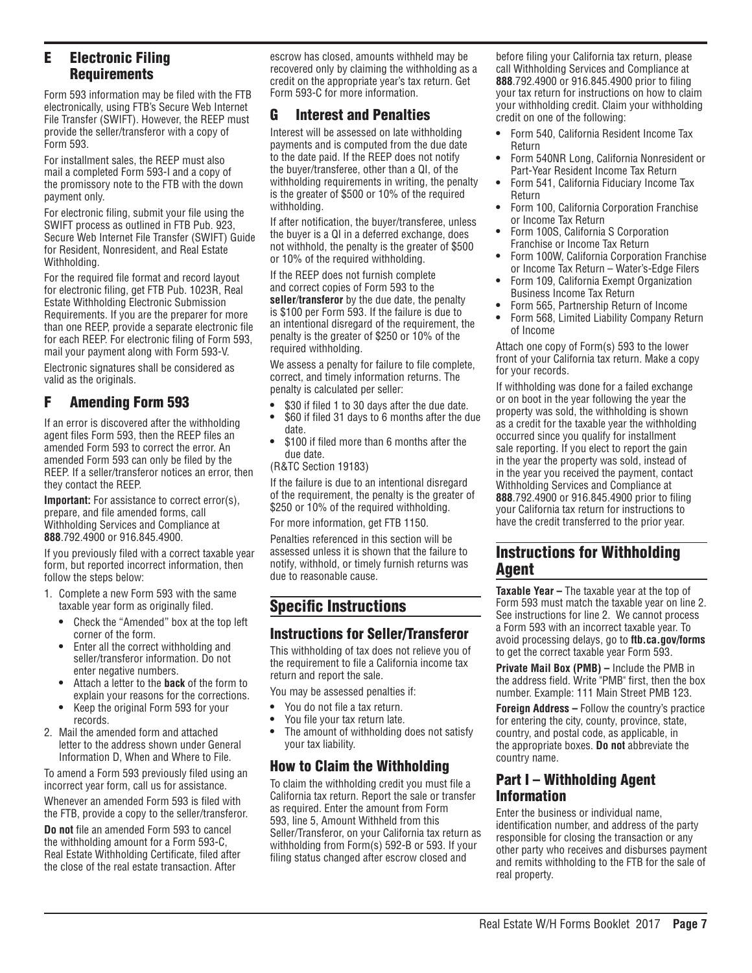# E Electronic Filing **Requirements**

Form 593 information may be filed with the FTB electronically, using FTB's Secure Web Internet File Transfer (SWIFT). However, the REEP must provide the seller/transferor with a copy of Form 593.

For installment sales, the REEP must also mail a completed Form 593-I and a copy of the promissory note to the FTB with the down payment only.

For electronic filing, submit your file using the SWIFT process as outlined in FTB Pub. 923, Secure Web Internet File Transfer (SWIFT) Guide for Resident, Nonresident, and Real Estate Withholding.

For the required file format and record layout for electronic filing, get FTB Pub. 1023R, Real Estate Withholding Electronic Submission Requirements. If you are the preparer for more than one REEP, provide a separate electronic file for each REEP. For electronic filing of Form 593, mail your payment along with Form 593-V.

Electronic signatures shall be considered as valid as the originals.

# F Amending Form 593

If an error is discovered after the withholding agent files Form 593, then the REEP files an amended Form 593 to correct the error. An amended Form 593 can only be filed by the REEP. If a seller/transferor notices an error, then they contact the REEP.

**Important:** For assistance to correct error(s), prepare, and file amended forms, call Withholding Services and Compliance at **888**.792.4900 or 916.845.4900.

If you previously filed with a correct taxable year form, but reported incorrect information, then follow the steps below:

- 1. Complete a new Form 593 with the same taxable year form as originally filed.
	- **•** Check the "Amended" box at the top left corner of the form.
	- **•** Enter all the correct withholding and seller/transferor information. Do not enter negative numbers.
	- **•** Attach a letter to the **back** of the form to explain your reasons for the corrections.
	- **•** Keep the original Form 593 for your records.
- 2. Mail the amended form and attached letter to the address shown under General Information D, When and Where to File.

To amend a Form 593 previously filed using an incorrect year form, call us for assistance.

Whenever an amended Form 593 is filed with the FTB, provide a copy to the seller/transferor.

**Do not** file an amended Form 593 to cancel the withholding amount for a Form 593-C, Real Estate Withholding Certificate, filed after the close of the real estate transaction. After

escrow has closed, amounts withheld may be recovered only by claiming the withholding as a credit on the appropriate year's tax return. Get Form 593-C for more information.

# G Interest and Penalties

Interest will be assessed on late withholding payments and is computed from the due date to the date paid. If the REEP does not notify the buyer/transferee, other than a QI, of the withholding requirements in writing, the penalty is the greater of \$500 or 10% of the required withholding.

If after notification, the buyer/transferee, unless the buyer is a QI in a deferred exchange, does not withhold, the penalty is the greater of \$500 or 10% of the required withholding.

If the REEP does not furnish complete and correct copies of Form 593 to the **seller**/**transferor** by the due date, the penalty is \$100 per Form 593. If the failure is due to an intentional disregard of the requirement, the penalty is the greater of \$250 or 10% of the required withholding.

We assess a penalty for failure to file complete, correct, and timely information returns. The penalty is calculated per seller:

- **•** \$30 if filed 1 to 30 days after the due date.
- **•** \$60 if filed 31 days to 6 months after the due date.
- **•** \$100 if filed more than 6 months after the due date.

(R&TC Section 19183)

If the failure is due to an intentional disregard of the requirement, the penalty is the greater of \$250 or 10% of the required withholding.

For more information, get FTB 1150.

Penalties referenced in this section will be assessed unless it is shown that the failure to notify, withhold, or timely furnish returns was due to reasonable cause.

# Specific Instructions

### Instructions for Seller/Transferor

This withholding of tax does not relieve you of the requirement to file a California income tax return and report the sale.

You may be assessed penalties if:

- **•** You do not file a tax return.
- **•** You file your tax return late.
- **•** The amount of withholding does not satisfy your tax liability.

# How to Claim the Withholding

To claim the withholding credit you must file a California tax return. Report the sale or transfer as required. Enter the amount from Form 593, line 5, Amount Withheld from this Seller/Transferor, on your California tax return as withholding from Form(s) 592-B or 593. If your filing status changed after escrow closed and

before filing your California tax return, please call Withholding Services and Compliance at **888**.792.4900 or 916.845.4900 prior to filing your tax return for instructions on how to claim your withholding credit. Claim your withholding credit on one of the following:

- **•** Form 540, California Resident Income Tax Return
- **•** Form 540NR Long, California Nonresident or Part-Year Resident Income Tax Return
- **•** Form 541, California Fiduciary Income Tax Return
- **•** Form 100, California Corporation Franchise or Income Tax Return
- **•** Form 100S, California S Corporation Franchise or Income Tax Return
- **•** Form 100W, California Corporation Franchise or Income Tax Return – Water's-Edge Filers
- **•** Form 109, California Exempt Organization Business Income Tax Return
- **•** Form 565, Partnership Return of Income
- **•** Form 568, Limited Liability Company Return of Income

Attach one copy of Form(s) 593 to the lower front of your California tax return. Make a copy for your records.

If withholding was done for a failed exchange or on boot in the year following the year the property was sold, the withholding is shown as a credit for the taxable year the withholding occurred since you qualify for installment sale reporting. If you elect to report the gain in the year the property was sold, instead of in the year you received the payment, contact Withholding Services and Compliance at **888**.792.4900 or 916.845.4900 prior to filing your California tax return for instructions to have the credit transferred to the prior year.

# Instructions for Withholding Agent

**Taxable Year –** The taxable year at the top of Form 593 must match the taxable year on line 2. See instructions for line 2. We cannot process a Form 593 with an incorrect taxable year. To avoid processing delays, go to **ftb.ca.gov/forms** to get the correct taxable year Form 593.

**Private Mail Box (PMB) –** Include the PMB in the address field. Write "PMB" first, then the box number. Example: 111 Main Street PMB 123.

**Foreign Address –** Follow the country's practice for entering the city, county, province, state, country, and postal code, as applicable, in the appropriate boxes. **Do not** abbreviate the country name.

### Part I – Withholding Agent Information

Enter the business or individual name, identification number, and address of the party responsible for closing the transaction or any other party who receives and disburses payment and remits withholding to the FTB for the sale of real property.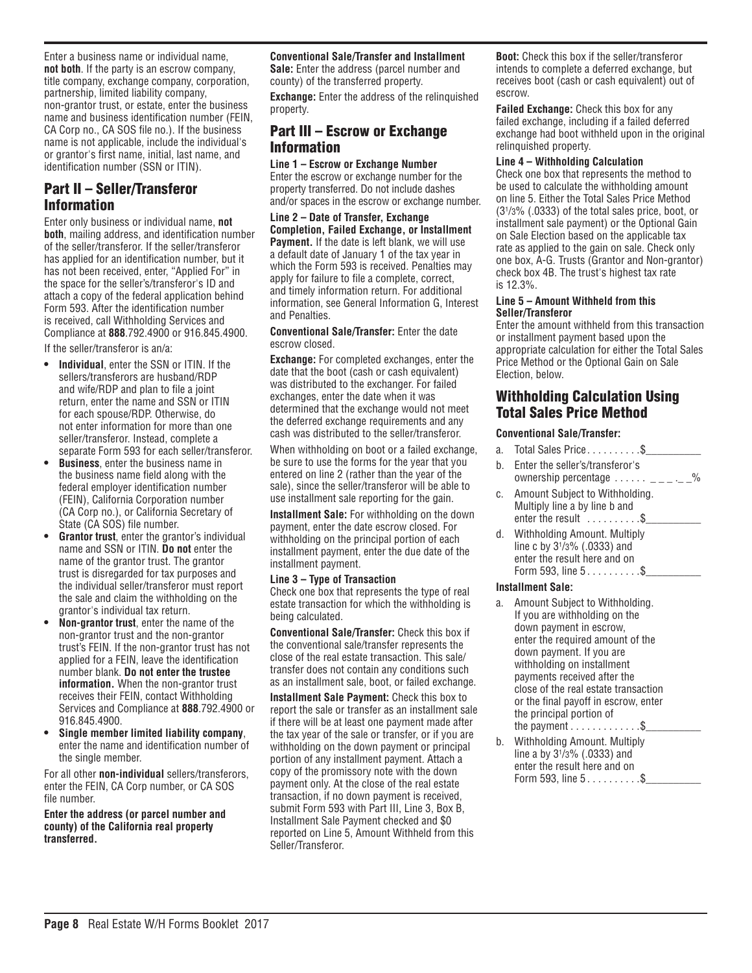Enter a business name or individual name, **not both**. If the party is an escrow company, title company, exchange company, corporation, partnership, limited liability company, non-grantor trust, or estate, enter the business name and business identification number (FEIN, CA Corp no., CA SOS file no.). If the business name is not applicable, include the individual's or grantor's first name, initial, last name, and identification number (SSN or ITIN).

### Part II – Seller/Transferor Information

Enter only business or individual name, **not both**, mailing address, and identification number of the seller/transferor. If the seller/transferor has applied for an identification number, but it has not been received, enter, "Applied For" in the space for the seller's/transferor's ID and attach a copy of the federal application behind Form 593. After the identification number is received, call Withholding Services and Compliance at **888**.792.4900 or 916.845.4900.

If the seller/transferor is an/a:

- **• Individual**, enter the SSN or ITIN. If the sellers/transferors are husband/RDP and wife/RDP and plan to file a joint return, enter the name and SSN or ITIN for each spouse/RDP. Otherwise, do not enter information for more than one seller/transferor. Instead, complete a separate Form 593 for each seller/transferor.
- **• Business**, enter the business name in the business name field along with the federal employer identification number (FEIN), California Corporation number (CA Corp no.), or California Secretary of State (CA SOS) file number.
- **Grantor trust**, enter the grantor's individual name and SSN or ITIN. **Do not** enter the name of the grantor trust. The grantor trust is disregarded for tax purposes and the individual seller/transferor must report the sale and claim the withholding on the grantor's individual tax return.
- **• Non-grantor trust**, enter the name of the non-grantor trust and the non-grantor trust's FEIN. If the non-grantor trust has not applied for a FEIN, leave the identification number blank. **Do not enter the trustee information.** When the non-grantor trust receives their FEIN, contact Withholding Services and Compliance at **888**.792.4900 or 916.845.4900.
- **• Single member limited liability company**, enter the name and identification number of the single member.

For all other **non-individual** sellers/transferors, enter the FEIN, CA Corp number, or CA SOS file number.

#### **Enter the address (or parcel number and county) of the California real property transferred.**

**Conventional Sale/Transfer and Installment Sale:** Enter the address (parcel number and

county) of the transferred property.

**Exchange:** Enter the address of the relinquished property.

## Part III – Escrow or Exchange Information

**Line 1 – Escrow or Exchange Number** Enter the escrow or exchange number for the property transferred. Do not include dashes and/or spaces in the escrow or exchange number.

**Line 2 – Date of Transfer, Exchange Completion, Failed Exchange, or Installment Payment.** If the date is left blank, we will use a default date of January 1 of the tax year in which the Form 593 is received. Penalties may apply for failure to file a complete, correct, and timely information return. For additional information, see General Information G, Interest and Penalties.

#### **Conventional Sale/Transfer:** Enter the date escrow closed.

**Exchange:** For completed exchanges, enter the date that the boot (cash or cash equivalent) was distributed to the exchanger. For failed exchanges, enter the date when it was determined that the exchange would not meet the deferred exchange requirements and any cash was distributed to the seller/transferor.

When withholding on boot or a failed exchange, be sure to use the forms for the year that you entered on line 2 (rather than the year of the sale), since the seller/transferor will be able to use installment sale reporting for the gain.

**Installment Sale:** For withholding on the down payment, enter the date escrow closed. For withholding on the principal portion of each installment payment, enter the due date of the installment payment.

#### **Line 3 – Type of Transaction**

Check one box that represents the type of real estate transaction for which the withholding is being calculated.

**Conventional Sale/Transfer:** Check this box if the conventional sale/transfer represents the close of the real estate transaction. This sale/ transfer does not contain any conditions such as an installment sale, boot, or failed exchange.

**Installment Sale Payment:** Check this box to report the sale or transfer as an installment sale if there will be at least one payment made after the tax year of the sale or transfer, or if you are withholding on the down payment or principal portion of any installment payment. Attach a copy of the promissory note with the down payment only. At the close of the real estate transaction, if no down payment is received, submit Form 593 with Part III, Line 3, Box B, Installment Sale Payment checked and \$0 reported on Line 5, Amount Withheld from this Seller/Transferor.

**Boot:** Check this box if the seller/transferor intends to complete a deferred exchange, but receives boot (cash or cash equivalent) out of escrow.

**Failed Exchange:** Check this box for any failed exchange, including if a failed deferred exchange had boot withheld upon in the original relinquished property.

#### **Line 4 – Withholding Calculation**

Check one box that represents the method to be used to calculate the withholding amount on line 5. Either the Total Sales Price Method (31 /3% (.0333) of the total sales price, boot, or installment sale payment) or the Optional Gain on Sale Election based on the applicable tax rate as applied to the gain on sale. Check only one box, A-G. Trusts (Grantor and Non-grantor) check box 4B. The trust's highest tax rate is 12.3%.

#### **Line 5 – Amount Withheld from this Seller/Transferor**

Enter the amount withheld from this transaction or installment payment based upon the appropriate calculation for either the Total Sales Price Method or the Optional Gain on Sale Election, below.

### Withholding Calculation Using Total Sales Price Method

#### **Conventional Sale/Transfer:**

- a. Total Sales Price  $\dots \dots \dots$ \$ b. Enter the seller's/transferor's ownership percentage  $\ldots \ldots - \ldots -$ %
- c. Amount Subject to Withholding. Multiply line a by line b and enter the result  $\dots \dots \dots$ \$
- d. Withholding Amount. Multiply line c by 31 /3% (.0333) and enter the result here and on Form 593, line  $5. . . . . . . . . .$ \$

#### **Installment Sale:**

- a. Amount Subject to Withholding. If you are withholding on the down payment in escrow, enter the required amount of the down payment. If you are withholding on installment payments received after the close of the real estate transaction or the final payoff in escrow, enter the principal portion of the payment  $\ldots \ldots \ldots$ .
- b. Withholding Amount. Multiply line a by 31 /3% (.0333) and enter the result here and on Form 593, line  $5...$   $3...$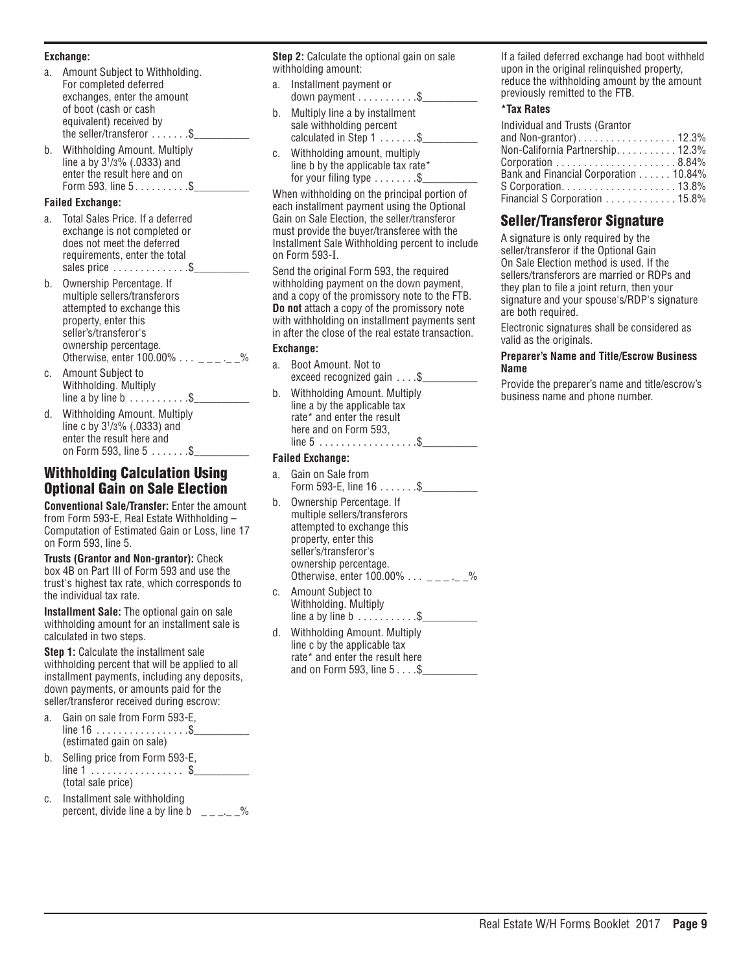#### **Exchange:**

- a. Amount Subject to Withholding. For completed deferred exchanges, enter the amount of boot (cash or cash equivalent) received by the seller/transferor  $\dots \dots$ . \$
- b. Withholding Amount. Multiply line a by 31 /3% (.0333) and enter the result here and on Form 593, line  $5...$   $3...$

#### **Failed Exchange:**

- Total Sales Price. If a deferred exchange is not completed or does not meet the deferred requirements, enter the total sales price  $\dots \dots \dots \dots$ \$
- b. Ownership Percentage. If multiple sellers/transferors attempted to exchange this property, enter this seller's/transferor's ownership percentage. Otherwise, enter  $100.00\%$   $\ldots$  \_\_\_  $\ldots$
- c. Amount Subject to Withholding. Multiply line a by line b  $\dots \dots \dots$ .\$
- d. Withholding Amount. Multiply line c by 31 /3% (.0333) and enter the result here and on Form 593, line  $5......$  \$

### Withholding Calculation Using Optional Gain on Sale Election

**Conventional Sale/Transfer:** Enter the amount from Form 593-E, Real Estate Withholding – Computation of Estimated Gain or Loss, line 17 on Form 593, line 5.

**Trusts (Grantor and Non-grantor):** Check box 4B on Part III of Form 593 and use the trust's highest tax rate, which corresponds to the individual tax rate.

**Installment Sale:** The optional gain on sale withholding amount for an installment sale is calculated in two steps.

**Step 1:** Calculate the installment sale withholding percent that will be applied to all installment payments, including any deposits, down payments, or amounts paid for the seller/transferor received during escrow:

- a. Gain on sale from Form 593-E,  $line 16$  .................\$ (estimated gain on sale)
- b. Selling price from Form 593-E,  $line 1$  . . . . . . . . . . . . . . . \$ (total sale price)
- c. Installment sale withholding percent, divide line a by line b  $\qquad \qquad = -1$ .

**Step 2:** Calculate the optional gain on sale withholding amount:

- a. Installment payment or down payment  $\dots \dots \dots$ .....\$
- b. Multiply line a by installment sale withholding percent calculated in Step  $1 \ldots \ldots$ . \$
- c. Withholding amount, multiply line b by the applicable tax rate\* for your filing type  $\dots \dots .5$

When withholding on the principal portion of each installment payment using the Optional Gain on Sale Election, the seller/transferor must provide the buyer/transferee with the Installment Sale Withholding percent to include on Form 593-I.

Send the original Form 593, the required withholding payment on the down payment, and a copy of the promissory note to the FTB. **Do not** attach a copy of the promissory note with withholding on installment payments sent in after the close of the real estate transaction.

#### **Exchange:**

- a. Boot Amount. Not to exceed recognized gain  $\dots$ \$
- b. Withholding Amount. Multiply line a by the applicable tax rate\* and enter the result here and on Form 593, line  $5 \ldots \ldots \ldots \ldots \ldots \ldots$ \$

#### **Failed Exchange:**

- Gain on Sale from Form 593-E, line  $16......$ . \$\_\_\_\_
- b. Ownership Percentage. If multiple sellers/transferors attempted to exchange this property, enter this seller's/transferor's ownership percentage. Otherwise, enter 100.00%  $\ldots$  \_\_\_  $\ldots$  \_%
- c. Amount Subject to Withholding. Multiply line a by line b  $\dots \dots \dots$ \$
- d. Withholding Amount. Multiply line c by the applicable tax rate\* and enter the result here and on Form 593, line  $5 \ldots .\$_{-}$

If a failed deferred exchange had boot withheld upon in the original relinquished property, reduce the withholding amount by the amount previously remitted to the FTB.

#### **\*Tax Rates**

| Individual and Trusts (Grantor                                 |  |
|----------------------------------------------------------------|--|
| and Non-grantor)12.3%                                          |  |
| Non-California Partnership. 12.3%                              |  |
| Corporation $\ldots \ldots \ldots \ldots \ldots \ldots 8.84\%$ |  |
| Bank and Financial Corporation 10.84%                          |  |
|                                                                |  |
| Financial S Corporation 15.8%                                  |  |

### Seller/Transferor Signature

A signature is only required by the seller/transferor if the Optional Gain On Sale Election method is used. If the sellers/transferors are married or RDPs and they plan to file a joint return, then your signature and your spouse's/RDP's signature are both required.

Electronic signatures shall be considered as valid as the originals.

#### **Preparer's Name and Title/Escrow Business Name**

Provide the preparer's name and title/escrow's business name and phone number.